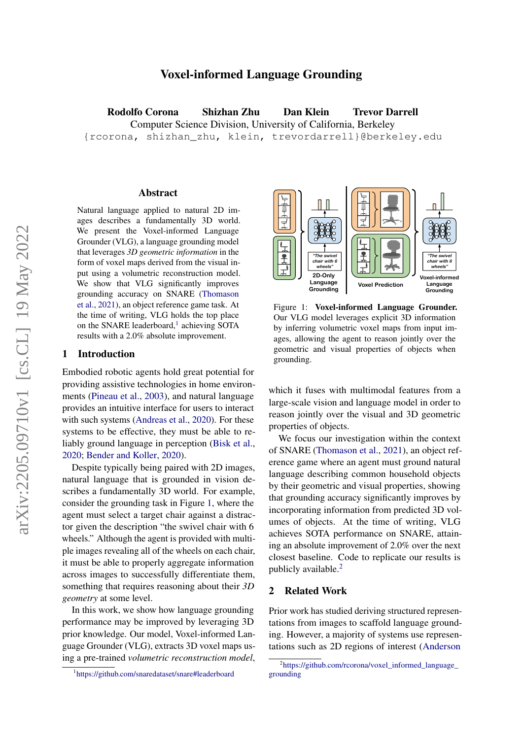# Voxel-informed Language Grounding

Rodolfo Corona Shizhan Zhu Dan Klein Trevor Darrell Computer Science Division, University of California, Berkeley {rcorona, shizhan\_zhu, klein, trevordarrell}@berkeley.edu

# $\Lambda$ bstract

Natural language applied to natural 2D images describes a fundamentally 3D world. We present the Voxel-informed Language Grounder (VLG), a language grounding model that leverages *3D geometric information* in the form of voxel maps derived from the visual input using a volumetric reconstruction model. We show that VLG significantly improves grounding accuracy on SNARE [\(Thomason](#page-6-0) [et al.,](#page-6-0) [2021\)](#page-6-0), an object reference game task. At the time of writing, VLG holds the top place on the SNARE leaderboard,<sup>[1](#page-0-0)</sup> achieving SOTA results with a 2.0% absolute improvement.

#### 1 Introduction

Embodied robotic agents hold great potential for providing assistive technologies in home environments [\(Pineau et al.,](#page-6-1) [2003\)](#page-6-1), and natural language provides an intuitive interface for users to interact with such systems [\(Andreas et al.,](#page-5-0) [2020\)](#page-5-0). For these systems to be effective, they must be able to reliably ground language in perception [\(Bisk et al.,](#page-5-1) [2020;](#page-5-1) [Bender and Koller,](#page-5-2) [2020\)](#page-5-2).

Despite typically being paired with 2D images, natural language that is grounded in vision describes a fundamentally 3D world. For example, consider the grounding task in Figure [1,](#page-0-1) where the agent must select a target chair against a distractor given the description "the swivel chair with 6 wheels." Although the agent is provided with multiple images revealing all of the wheels on each chair, it must be able to properly aggregate information across images to successfully differentiate them, something that requires reasoning about their *3D geometry* at some level.

In this work, we show how language grounding performance may be improved by leveraging 3D prior knowledge. Our model, Voxel-informed Language Grounder (VLG), extracts 3D voxel maps using a pre-trained *volumetric reconstruction model*,

<span id="page-0-1"></span>

Figure 1: Voxel-informed Language Grounder. Our VLG model leverages explicit 3D information by inferring volumetric voxel maps from input images, allowing the agent to reason jointly over the geometric and visual properties of objects when grounding.

which it fuses with multimodal features from a large-scale vision and language model in order to reason jointly over the visual and 3D geometric properties of objects.

We focus our investigation within the context of SNARE [\(Thomason et al.,](#page-6-0) [2021\)](#page-6-0), an object reference game where an agent must ground natural language describing common household objects by their geometric and visual properties, showing that grounding accuracy significantly improves by incorporating information from predicted 3D volumes of objects. At the time of writing, VLG achieves SOTA performance on SNARE, attaining an absolute improvement of 2.0% over the next closest baseline. Code to replicate our results is publicly available. $<sup>2</sup>$  $<sup>2</sup>$  $<sup>2</sup>$ </sup>

## 2 Related Work

Prior work has studied deriving structured representations from images to scaffold language grounding. However, a majority of systems use representations such as 2D regions of interest [\(Anderson](#page-5-3)

<span id="page-0-0"></span><sup>1</sup> <https://github.com/snaredataset/snare#leaderboard>

<span id="page-0-2"></span><sup>2</sup> [https://github.com/rcorona/voxel\\_informed\\_language\\_](#page-5-3) [grounding](#page-5-3)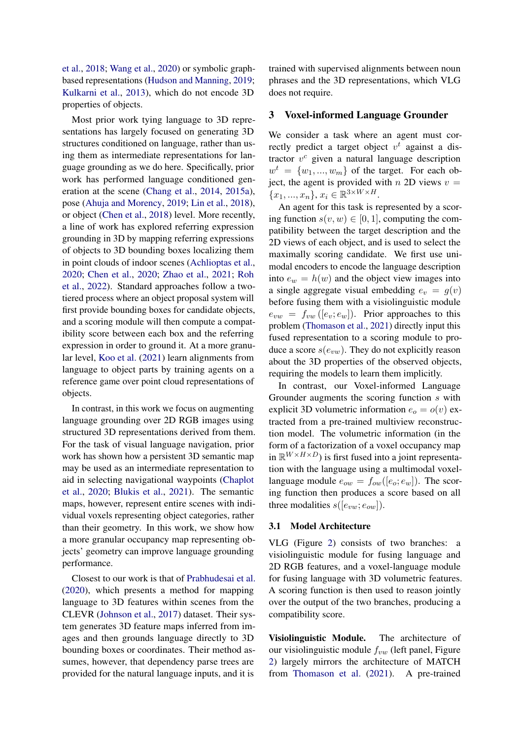[et al.,](#page-5-3) [2018;](#page-5-3) [Wang et al.,](#page-6-2) [2020\)](#page-6-2) or symbolic graphbased representations [\(Hudson and Manning,](#page-6-3) [2019;](#page-6-3) [Kulkarni et al.,](#page-6-4) [2013\)](#page-6-4), which do not encode 3D properties of objects.

Most prior work tying language to 3D representations has largely focused on generating 3D structures conditioned on language, rather than using them as intermediate representations for language grounding as we do here. Specifically, prior work has performed language conditioned generation at the scene [\(Chang et al.,](#page-5-4) [2014,](#page-5-4) [2015a\)](#page-5-5), pose [\(Ahuja and Morency,](#page-5-6) [2019;](#page-5-6) [Lin et al.,](#page-6-5) [2018\)](#page-6-5), or object [\(Chen et al.,](#page-5-7) [2018\)](#page-5-7) level. More recently, a line of work has explored referring expression grounding in 3D by mapping referring expressions of objects to 3D bounding boxes localizing them in point clouds of indoor scenes [\(Achlioptas et al.,](#page-5-8) [2020;](#page-5-8) [Chen et al.,](#page-5-9) [2020;](#page-5-9) [Zhao et al.,](#page-6-6) [2021;](#page-6-6) [Roh](#page-6-7) [et al.,](#page-6-7) [2022\)](#page-6-7). Standard approaches follow a twotiered process where an object proposal system will first provide bounding boxes for candidate objects, and a scoring module will then compute a compatibility score between each box and the referring expression in order to ground it. At a more granular level, [Koo et al.](#page-6-8) [\(2021\)](#page-6-8) learn alignments from language to object parts by training agents on a reference game over point cloud representations of objects.

In contrast, in this work we focus on augmenting language grounding over 2D RGB images using structured 3D representations derived from them. For the task of visual language navigation, prior work has shown how a persistent 3D semantic map may be used as an intermediate representation to aid in selecting navigational waypoints [\(Chaplot](#page-5-10) [et al.,](#page-5-10) [2020;](#page-5-10) [Blukis et al.,](#page-5-11) [2021\)](#page-5-11). The semantic maps, however, represent entire scenes with individual voxels representing object categories, rather than their geometry. In this work, we show how a more granular occupancy map representing objects' geometry can improve language grounding performance.

Closest to our work is that of [Prabhudesai et al.](#page-6-9) [\(2020\)](#page-6-9), which presents a method for mapping language to 3D features within scenes from the CLEVR [\(Johnson et al.,](#page-6-10) [2017\)](#page-6-10) dataset. Their system generates 3D feature maps inferred from images and then grounds language directly to 3D bounding boxes or coordinates. Their method assumes, however, that dependency parse trees are provided for the natural language inputs, and it is

trained with supervised alignments between noun phrases and the 3D representations, which VLG does not require.

### 3 Voxel-informed Language Grounder

We consider a task where an agent must correctly predict a target object  $v^t$  against a distractor  $v^c$  given a natural language description  $w^t = \{w_1, ..., w_m\}$  of the target. For each object, the agent is provided with  $n$  2D views  $v =$  ${x_1, ..., x_n}, x_i \in \mathbb{R}^{3 \times W \times H}.$ 

An agent for this task is represented by a scoring function  $s(v, w) \in [0, 1]$ , computing the compatibility between the target description and the 2D views of each object, and is used to select the maximally scoring candidate. We first use unimodal encoders to encode the language description into  $e_w = h(w)$  and the object view images into a single aggregate visual embedding  $e_v = g(v)$ before fusing them with a visiolinguistic module  $e_{vw} = f_{vw}([e_v; e_w])$ . Prior approaches to this problem [\(Thomason et al.,](#page-6-0) [2021\)](#page-6-0) directly input this fused representation to a scoring module to produce a score  $s(e_{vw})$ . They do not explicitly reason about the 3D properties of the observed objects, requiring the models to learn them implicitly.

In contrast, our Voxel-informed Language Grounder augments the scoring function s with explicit 3D volumetric information  $e_0 = o(v)$  extracted from a pre-trained multiview reconstruction model. The volumetric information (in the form of a factorization of a voxel occupancy map in  $\mathbb{R}^{W \times H \times D}$ ) is first fused into a joint representation with the language using a multimodal voxellanguage module  $e_{ow} = f_{ow}([e_o; e_w])$ . The scoring function then produces a score based on all three modalities  $s([e_{vw}; e_{ow}])$ .

## 3.1 Model Architecture

VLG (Figure [2\)](#page-2-0) consists of two branches: a visiolinguistic module for fusing language and 2D RGB features, and a voxel-language module for fusing language with 3D volumetric features. A scoring function is then used to reason jointly over the output of the two branches, producing a compatibility score.

Visiolinguistic Module. The architecture of our visiolinguistic module  $f_{vw}$  (left panel, Figure [2\)](#page-2-0) largely mirrors the architecture of MATCH from [Thomason et al.](#page-6-0) [\(2021\)](#page-6-0). A pre-trained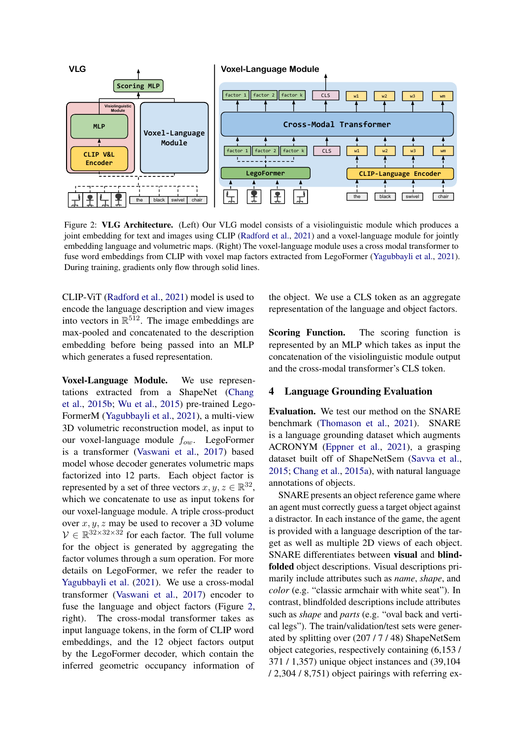<span id="page-2-0"></span>

Figure 2: VLG Architecture. (Left) Our VLG model consists of a visiolinguistic module which produces a joint embedding for text and images using CLIP [\(Radford et al.,](#page-6-11) [2021\)](#page-6-11) and a voxel-language module for jointly embedding language and volumetric maps. (Right) The voxel-language module uses a cross modal transformer to fuse word embeddings from CLIP with voxel map factors extracted from LegoFormer [\(Yagubbayli et al.,](#page-6-12) [2021\)](#page-6-12). During training, gradients only flow through solid lines.

CLIP-ViT [\(Radford et al.,](#page-6-11) [2021\)](#page-6-11) model is used to encode the language description and view images into vectors in  $\mathbb{R}^{512}$ . The image embeddings are max-pooled and concatenated to the description embedding before being passed into an MLP which generates a fused representation.

Compared accepts the containst WHICH CO right). The cross-modal transformer takes as fuse the language and object factors (Figure [2,](#page-2-0) by the LegoFormer decoder, which contain the **CLIP**-Vita inferred geometric occupancy information of Voxel-Language Module. We use representations extracted from a ShapeNet [\(Chang](#page-5-12) [et al.,](#page-5-12) [2015b;](#page-5-12) [Wu et al.,](#page-6-13) [2015\)](#page-6-13) pre-trained Lego-FormerM [\(Yagubbayli et al.,](#page-6-12) [2021\)](#page-6-12), a multi-view 3D volumetric reconstruction model, as input to our voxel-language module  $f_{ow}$ . LegoFormer is a transformer [\(Vaswani et al.,](#page-6-14) [2017\)](#page-6-14) based model whose decoder generates volumetric maps factorized into 12 parts. Each object factor is represented by a set of three vectors  $x, y, z \in \mathbb{R}^{32}$ , which we concatenate to use as input tokens for our voxel-language module. A triple cross-product over  $x, y, z$  may be used to recover a 3D volume  $V \in \mathbb{R}^{32 \times 32 \times 32}$  for each factor. The full volume for the object is generated by aggregating the factor volumes through a sum operation. For more details on LegoFormer, we refer the reader to [Yagubbayli et al.](#page-6-12) [\(2021\)](#page-6-12). We use a cross-modal transformer [\(Vaswani et al.,](#page-6-14) [2017\)](#page-6-14) encoder to input language tokens, in the form of CLIP word embeddings, and the 12 object factors output

the object. We use a CLS token as an aggregate representation of the language and object factors.

Scoring Function. The scoring function is represented by an MLP which takes as input the concatenation of the visiolinguistic module output and the cross-modal transformer's CLS token.

## <span id="page-2-1"></span>4 Language Grounding Evaluation

Evaluation. We test our method on the SNARE benchmark [\(Thomason et al.,](#page-6-0) [2021\)](#page-6-0). SNARE is a language grounding dataset which augments ACRONYM [\(Eppner et al.,](#page-5-13) [2021\)](#page-5-13), a grasping dataset built off of ShapeNetSem [\(Savva et al.,](#page-6-15) [2015;](#page-6-15) [Chang et al.,](#page-5-5) [2015a\)](#page-5-5), with natural language annotations of objects.

SNARE presents an object reference game where an agent must correctly guess a target object against a distractor. In each instance of the game, the agent is provided with a language description of the target as well as multiple 2D views of each object. SNARE differentiates between visual and blindfolded object descriptions. Visual descriptions primarily include attributes such as *name*, *shape*, and *color* (e.g. "classic armchair with white seat"). In contrast, blindfolded descriptions include attributes such as *shape* and *parts* (e.g. "oval back and vertical legs"). The train/validation/test sets were generated by splitting over (207 / 7 / 48) ShapeNetSem object categories, respectively containing (6,153 / 371 / 1,357) unique object instances and (39,104 / 2,304 / 8,751) object pairings with referring ex-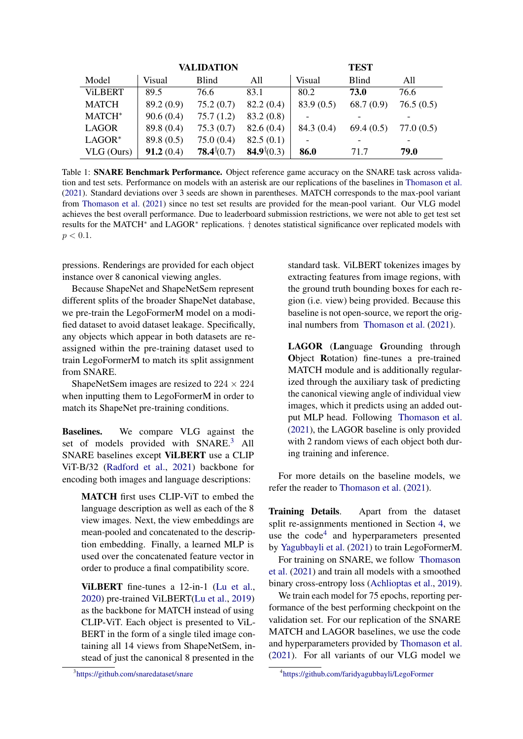<span id="page-3-2"></span>

|                | <b>VALIDATION</b> |              |           | <b>TEST</b> |              |           |
|----------------|-------------------|--------------|-----------|-------------|--------------|-----------|
| Model          | Visual            | <b>Blind</b> | All       | Visual      | <b>Blind</b> | All       |
| <b>ViLBERT</b> | 89.5              | 76.6         | 83.1      | 80.2        | 73.0         | 76.6      |
| <b>MATCH</b>   | 89.2 (0.9)        | 75.2(0.7)    | 82.2(0.4) | 83.9(0.5)   | 68.7(0.9)    | 76.5(0.5) |
| MATCH*         | 90.6(0.4)         | 75.7(1.2)    | 83.2(0.8) |             |              |           |
| <b>LAGOR</b>   | 89.8 (0.4)        | 75.3(0.7)    | 82.6(0.4) | 84.3(0.4)   | 69.4(0.5)    | 77.0(0.5) |
| $LAGOR*$       | 89.8 (0.5)        | 75.0(0.4)    | 82.5(0.1) |             |              |           |
| VLG (Ours)     | 91.2(0.4)         | 78.4(0.7)    | 84.9(0.3) | 86.0        | 71.7         | 79.0      |

Table 1: SNARE Benchmark Performance. Object reference game accuracy on the SNARE task across validation and test sets. Performance on models with an asterisk are our replications of the baselines in [Thomason et al.](#page-6-0) [\(2021\)](#page-6-0). Standard deviations over 3 seeds are shown in parentheses. MATCH corresponds to the max-pool variant from [Thomason et al.](#page-6-0) [\(2021\)](#page-6-0) since no test set results are provided for the mean-pool variant. Our VLG model achieves the best overall performance. Due to leaderboard submission restrictions, we were not able to get test set results for the MATCH<sup>\*</sup> and LAGOR<sup>\*</sup> replications. † denotes statistical significance over replicated models with  $p < 0.1$ .

pressions. Renderings are provided for each object instance over 8 canonical viewing angles.

Because ShapeNet and ShapeNetSem represent different splits of the broader ShapeNet database, we pre-train the LegoFormerM model on a modified dataset to avoid dataset leakage. Specifically, any objects which appear in both datasets are reassigned within the pre-training dataset used to train LegoFormerM to match its split assignment from SNARE.

ShapeNetSem images are resized to  $224 \times 224$ when inputting them to LegoFormerM in order to match its ShapeNet pre-training conditions.

Baselines. We compare VLG against the set of models provided with SNARE.<sup>[3](#page-3-0)</sup> All SNARE baselines except ViLBERT use a CLIP ViT-B/32 [\(Radford et al.,](#page-6-11) [2021\)](#page-6-11) backbone for encoding both images and language descriptions:

MATCH first uses CLIP-ViT to embed the language description as well as each of the 8 view images. Next, the view embeddings are mean-pooled and concatenated to the description embedding. Finally, a learned MLP is used over the concatenated feature vector in order to produce a final compatibility score.

ViLBERT fine-tunes a 12-in-1 [\(Lu et al.,](#page-6-16) [2020\)](#page-6-16) pre-trained ViLBERT[\(Lu et al.,](#page-6-17) [2019\)](#page-6-17) as the backbone for MATCH instead of using CLIP-ViT. Each object is presented to ViL-BERT in the form of a single tiled image containing all 14 views from ShapeNetSem, instead of just the canonical 8 presented in the

<span id="page-3-0"></span>3 <https://github.com/snaredataset/snare>

standard task. ViLBERT tokenizes images by extracting features from image regions, with the ground truth bounding boxes for each region (i.e. view) being provided. Because this baseline is not open-source, we report the original numbers from [Thomason et al.](#page-6-0) [\(2021\)](#page-6-0).

LAGOR (Language Grounding through Object Rotation) fine-tunes a pre-trained MATCH module and is additionally regularized through the auxiliary task of predicting the canonical viewing angle of individual view images, which it predicts using an added output MLP head. Following [Thomason et al.](#page-6-0) [\(2021\)](#page-6-0), the LAGOR baseline is only provided with 2 random views of each object both during training and inference.

For more details on the baseline models, we refer the reader to [Thomason et al.](#page-6-0) [\(2021\)](#page-6-0).

Training Details. Apart from the dataset split re-assignments mentioned in Section [4,](#page-2-1) we use the code<sup>[4](#page-3-1)</sup> and hyperparameters presented by [Yagubbayli et al.](#page-6-12) [\(2021\)](#page-6-12) to train LegoFormerM.

For training on SNARE, we follow [Thomason](#page-6-0) [et al.](#page-6-0) [\(2021\)](#page-6-0) and train all models with a smoothed binary cross-entropy loss [\(Achlioptas et al.,](#page-5-14) [2019\)](#page-5-14).

We train each model for 75 epochs, reporting performance of the best performing checkpoint on the validation set. For our replication of the SNARE MATCH and LAGOR baselines, we use the code and hyperparameters provided by [Thomason et al.](#page-6-0) [\(2021\)](#page-6-0). For all variants of our VLG model we

<span id="page-3-1"></span><sup>4</sup> <https://github.com/faridyagubbayli/LegoFormer>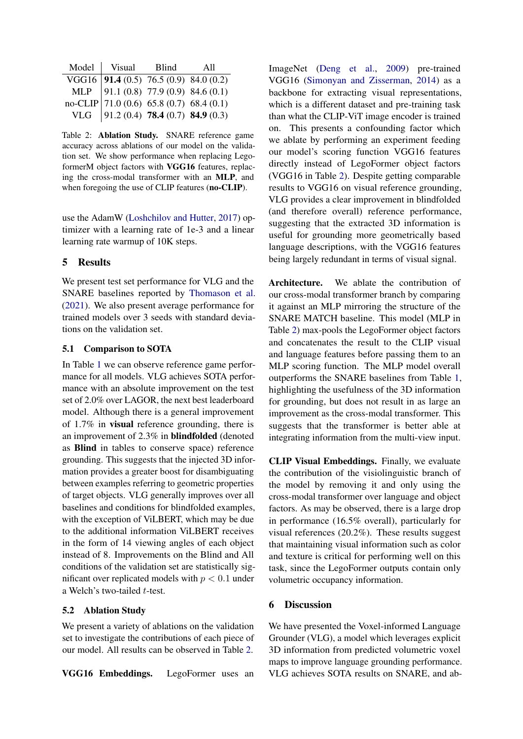<span id="page-4-0"></span>

| Model Visual Blind                                                                                                                                                 | A11 |
|--------------------------------------------------------------------------------------------------------------------------------------------------------------------|-----|
|                                                                                                                                                                    |     |
|                                                                                                                                                                    |     |
|                                                                                                                                                                    |     |
| VGG16 91.4 (0.5) 76.5 (0.9) 84.0 (0.2)<br>MLP 91.1 (0.8) 77.9 (0.9) 84.6 (0.1)<br>no-CLIP 71.0 (0.6) 65.8 (0.7) 68.4 (0.1)<br>VLG 91.2 (0.4) 78.4 (0.7) 84.9 (0.3) |     |

Table 2: Ablation Study. SNARE reference game accuracy across ablations of our model on the validation set. We show performance when replacing LegoformerM object factors with VGG16 features, replacing the cross-modal transformer with an MLP, and when foregoing the use of CLIP features (no-CLIP).

use the AdamW [\(Loshchilov and Hutter,](#page-6-18) [2017\)](#page-6-18) optimizer with a learning rate of 1e-3 and a linear learning rate warmup of 10K steps.

# 5 Results

We present test set performance for VLG and the SNARE baselines reported by [Thomason et al.](#page-6-0) [\(2021\)](#page-6-0). We also present average performance for trained models over 3 seeds with standard deviations on the validation set.

### 5.1 Comparison to SOTA

In Table [1](#page-3-2) we can observe reference game performance for all models. VLG achieves SOTA performance with an absolute improvement on the test set of 2.0% over LAGOR, the next best leaderboard model. Although there is a general improvement of 1.7% in visual reference grounding, there is an improvement of 2.3% in blindfolded (denoted as Blind in tables to conserve space) reference grounding. This suggests that the injected 3D information provides a greater boost for disambiguating between examples referring to geometric properties of target objects. VLG generally improves over all baselines and conditions for blindfolded examples, with the exception of ViLBERT, which may be due to the additional information ViLBERT receives in the form of 14 viewing angles of each object instead of 8. Improvements on the Blind and All conditions of the validation set are statistically significant over replicated models with  $p < 0.1$  under a Welch's two-tailed t-test.

## 5.2 Ablation Study

We present a variety of ablations on the validation set to investigate the contributions of each piece of our model. All results can be observed in Table [2.](#page-4-0)

VGG16 Embeddings. LegoFormer uses an

ImageNet [\(Deng et al.,](#page-5-15) [2009\)](#page-5-15) pre-trained VGG16 [\(Simonyan and Zisserman,](#page-6-19) [2014\)](#page-6-19) as a backbone for extracting visual representations, which is a different dataset and pre-training task than what the CLIP-ViT image encoder is trained on. This presents a confounding factor which we ablate by performing an experiment feeding our model's scoring function VGG16 features directly instead of LegoFormer object factors (VGG16 in Table [2\)](#page-4-0). Despite getting comparable results to VGG16 on visual reference grounding, VLG provides a clear improvement in blindfolded (and therefore overall) reference performance, suggesting that the extracted 3D information is useful for grounding more geometrically based language descriptions, with the VGG16 features being largely redundant in terms of visual signal.

Architecture. We ablate the contribution of our cross-modal transformer branch by comparing it against an MLP mirroring the structure of the SNARE MATCH baseline. This model (MLP in Table [2\)](#page-4-0) max-pools the LegoFormer object factors and concatenates the result to the CLIP visual and language features before passing them to an MLP scoring function. The MLP model overall outperforms the SNARE baselines from Table [1,](#page-3-2) highlighting the usefulness of the 3D information for grounding, but does not result in as large an improvement as the cross-modal transformer. This suggests that the transformer is better able at integrating information from the multi-view input.

CLIP Visual Embeddings. Finally, we evaluate the contribution of the visiolinguistic branch of the model by removing it and only using the cross-modal transformer over language and object factors. As may be observed, there is a large drop in performance (16.5% overall), particularly for visual references (20.2%). These results suggest that maintaining visual information such as color and texture is critical for performing well on this task, since the LegoFormer outputs contain only volumetric occupancy information.

### 6 Discussion

We have presented the Voxel-informed Language Grounder (VLG), a model which leverages explicit 3D information from predicted volumetric voxel maps to improve language grounding performance. VLG achieves SOTA results on SNARE, and ab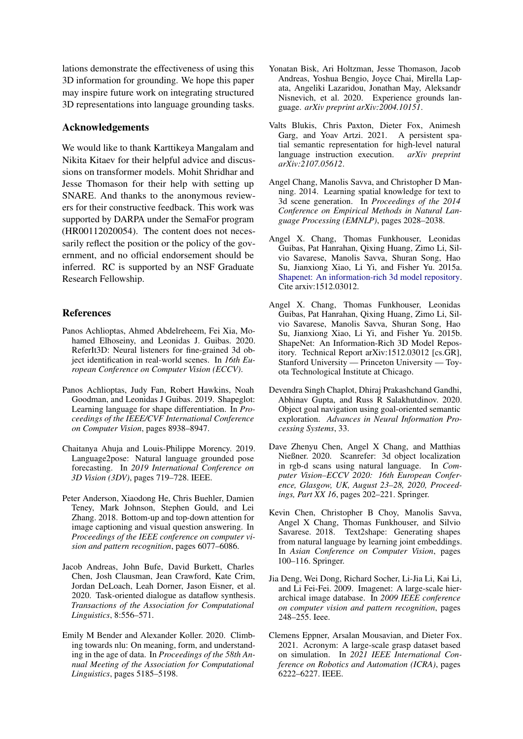lations demonstrate the effectiveness of using this 3D information for grounding. We hope this paper may inspire future work on integrating structured 3D representations into language grounding tasks.

### Acknowledgements

We would like to thank Karttikeya Mangalam and Nikita Kitaev for their helpful advice and discussions on transformer models. Mohit Shridhar and Jesse Thomason for their help with setting up SNARE. And thanks to the anonymous reviewers for their constructive feedback. This work was supported by DARPA under the SemaFor program (HR00112020054). The content does not necessarily reflect the position or the policy of the government, and no official endorsement should be inferred. RC is supported by an NSF Graduate Research Fellowship.

### References

- <span id="page-5-8"></span>Panos Achlioptas, Ahmed Abdelreheem, Fei Xia, Mohamed Elhoseiny, and Leonidas J. Guibas. 2020. ReferIt3D: Neural listeners for fine-grained 3d object identification in real-world scenes. In *16th European Conference on Computer Vision (ECCV)*.
- <span id="page-5-14"></span>Panos Achlioptas, Judy Fan, Robert Hawkins, Noah Goodman, and Leonidas J Guibas. 2019. Shapeglot: Learning language for shape differentiation. In *Proceedings of the IEEE/CVF International Conference on Computer Vision*, pages 8938–8947.
- <span id="page-5-6"></span>Chaitanya Ahuja and Louis-Philippe Morency. 2019. Language2pose: Natural language grounded pose forecasting. In *2019 International Conference on 3D Vision (3DV)*, pages 719–728. IEEE.
- <span id="page-5-3"></span>Peter Anderson, Xiaodong He, Chris Buehler, Damien Teney, Mark Johnson, Stephen Gould, and Lei Zhang. 2018. Bottom-up and top-down attention for image captioning and visual question answering. In *Proceedings of the IEEE conference on computer vision and pattern recognition*, pages 6077–6086.
- <span id="page-5-0"></span>Jacob Andreas, John Bufe, David Burkett, Charles Chen, Josh Clausman, Jean Crawford, Kate Crim, Jordan DeLoach, Leah Dorner, Jason Eisner, et al. 2020. Task-oriented dialogue as dataflow synthesis. *Transactions of the Association for Computational Linguistics*, 8:556–571.
- <span id="page-5-2"></span>Emily M Bender and Alexander Koller. 2020. Climbing towards nlu: On meaning, form, and understanding in the age of data. In *Proceedings of the 58th Annual Meeting of the Association for Computational Linguistics*, pages 5185–5198.
- <span id="page-5-1"></span>Yonatan Bisk, Ari Holtzman, Jesse Thomason, Jacob Andreas, Yoshua Bengio, Joyce Chai, Mirella Lapata, Angeliki Lazaridou, Jonathan May, Aleksandr Nisnevich, et al. 2020. Experience grounds language. *arXiv preprint arXiv:2004.10151*.
- <span id="page-5-11"></span>Valts Blukis, Chris Paxton, Dieter Fox, Animesh Garg, and Yoav Artzi. 2021. A persistent spatial semantic representation for high-level natural language instruction execution. *arXiv preprint arXiv:2107.05612*.
- <span id="page-5-4"></span>Angel Chang, Manolis Savva, and Christopher D Manning. 2014. Learning spatial knowledge for text to 3d scene generation. In *Proceedings of the 2014 Conference on Empirical Methods in Natural Language Processing (EMNLP)*, pages 2028–2038.
- <span id="page-5-5"></span>Angel X. Chang, Thomas Funkhouser, Leonidas Guibas, Pat Hanrahan, Qixing Huang, Zimo Li, Silvio Savarese, Manolis Savva, Shuran Song, Hao Su, Jianxiong Xiao, Li Yi, and Fisher Yu. 2015a. [Shapenet: An information-rich 3d model repository.](http://arxiv.org/abs/1512.03012) Cite arxiv:1512.03012.
- <span id="page-5-12"></span>Angel X. Chang, Thomas Funkhouser, Leonidas Guibas, Pat Hanrahan, Qixing Huang, Zimo Li, Silvio Savarese, Manolis Savva, Shuran Song, Hao Su, Jianxiong Xiao, Li Yi, and Fisher Yu. 2015b. ShapeNet: An Information-Rich 3D Model Repository. Technical Report arXiv:1512.03012 [cs.GR], Stanford University — Princeton University — Toyota Technological Institute at Chicago.
- <span id="page-5-10"></span>Devendra Singh Chaplot, Dhiraj Prakashchand Gandhi, Abhinav Gupta, and Russ R Salakhutdinov. 2020. Object goal navigation using goal-oriented semantic exploration. *Advances in Neural Information Processing Systems*, 33.
- <span id="page-5-9"></span>Dave Zhenyu Chen, Angel X Chang, and Matthias Nießner. 2020. Scanrefer: 3d object localization in rgb-d scans using natural language. In *Computer Vision–ECCV 2020: 16th European Conference, Glasgow, UK, August 23–28, 2020, Proceedings, Part XX 16*, pages 202–221. Springer.
- <span id="page-5-7"></span>Kevin Chen, Christopher B Choy, Manolis Savva, Angel X Chang, Thomas Funkhouser, and Silvio Savarese. 2018. Text2shape: Generating shapes from natural language by learning joint embeddings. In *Asian Conference on Computer Vision*, pages 100–116. Springer.
- <span id="page-5-15"></span>Jia Deng, Wei Dong, Richard Socher, Li-Jia Li, Kai Li, and Li Fei-Fei. 2009. Imagenet: A large-scale hierarchical image database. In *2009 IEEE conference on computer vision and pattern recognition*, pages 248–255. Ieee.
- <span id="page-5-13"></span>Clemens Eppner, Arsalan Mousavian, and Dieter Fox. 2021. Acronym: A large-scale grasp dataset based on simulation. In *2021 IEEE International Conference on Robotics and Automation (ICRA)*, pages 6222–6227. IEEE.